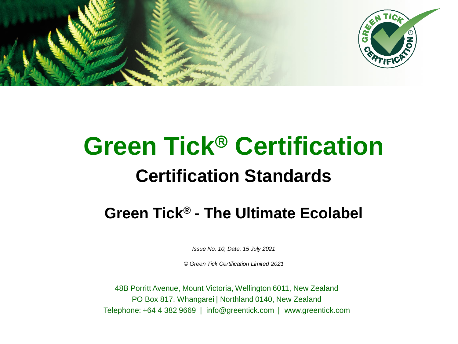



# **Green Tick<sup>®</sup> Certification Certification Standards**

# **Green Tick® - The Ultimate Ecolabel**

*Issue No. 10, Date: 15 July 2021*

*© Green Tick Certification Limited 2021*

48B Porritt Avenue, Mount Victoria, Wellington 6011, New Zealand PO Box 817, Whangarei | Northland 0140, New Zealand Telephone: +64 4 382 9669 | info@greentick.com | [www.greentick.com](http://www.greentick.com/)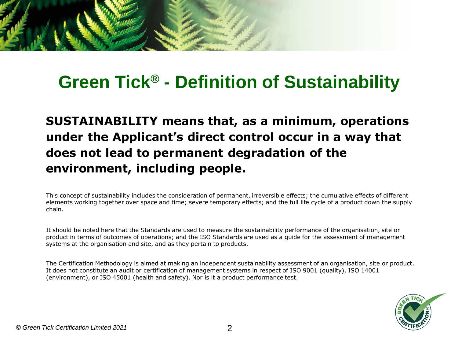

# **Green Tick® - Definition of Sustainability**

**SUSTAINABILITY means that, as a minimum, operations under the Applicant's direct control occur in a way that does not lead to permanent degradation of the environment, including people.**

This concept of sustainability includes the consideration of permanent, irreversible effects; the cumulative effects of different elements working together over space and time; severe temporary effects; and the full life cycle of a product down the supply chain.

It should be noted here that the Standards are used to measure the sustainability performance of the organisation, site or product in terms of outcomes of operations; and the ISO Standards are used as a guide for the assessment of management systems at the organisation and site, and as they pertain to products.

The Certification Methodology is aimed at making an independent sustainability assessment of an organisation, site or product. It does not constitute an audit or certification of management systems in respect of ISO 9001 (quality), ISO 14001 (environment), or ISO 45001 (health and safety). Nor is it a product performance test.

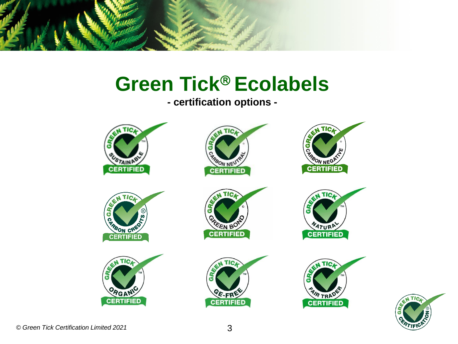

# **Green Tick<sup>®</sup> Ecolabels**

**- certification options -**



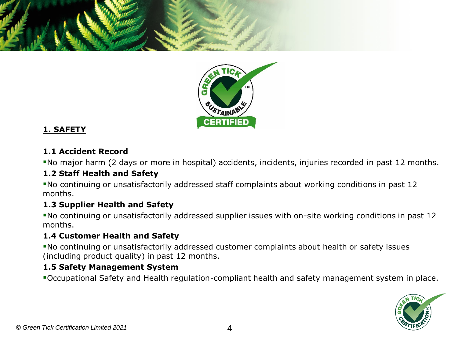



#### **1. SAFETY**

#### **1.1 Accident Record**

▪No major harm (2 days or more in hospital) accidents, incidents, injuries recorded in past 12 months.

#### **1.2 Staff Health and Safety**

▪No continuing or unsatisfactorily addressed staff complaints about working conditions in past 12 months.

#### **1.3 Supplier Health and Safety**

▪No continuing or unsatisfactorily addressed supplier issues with on-site working conditions in past 12 months.

#### **1.4 Customer Health and Safety**

▪No continuing or unsatisfactorily addressed customer complaints about health or safety issues (including product quality) in past 12 months.

#### **1.5 Safety Management System**

▪Occupational Safety and Health regulation-compliant health and safety management system in place.

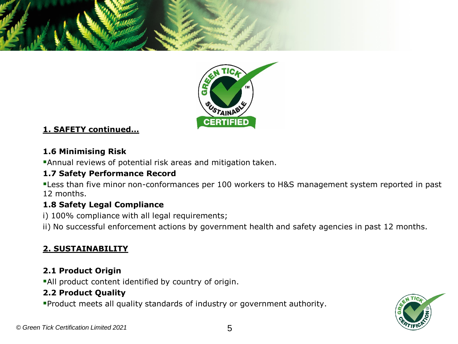



### **1. SAFETY continued…**

#### **1.6 Minimising Risk**

**Annual reviews of potential risk areas and mitigation taken.** 

### **1.7 Safety Performance Record**

**.** Less than five minor non-conformances per 100 workers to H&S management system reported in past 12 months.

## **1.8 Safety Legal Compliance**

i) 100% compliance with all legal requirements;

ii) No successful enforcement actions by government health and safety agencies in past 12 months.

# **2. SUSTAINABILITY**

### **2.1 Product Origin**

**All product content identified by country of origin.** 

## **2.2 Product Quality**

▪Product meets all quality standards of industry or government authority.

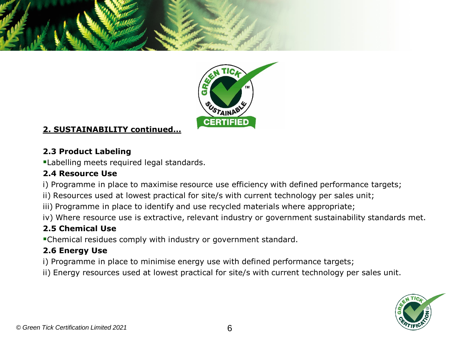



### **2. SUSTAINABILITY continued…**

### **2.3 Product Labeling**

**ELabelling meets required legal standards.** 

#### **2.4 Resource Use**

i) Programme in place to maximise resource use efficiency with defined performance targets;

- ii) Resources used at lowest practical for site/s with current technology per sales unit;
- iii) Programme in place to identify and use recycled materials where appropriate;
- iv) Where resource use is extractive, relevant industry or government sustainability standards met.

### **2.5 Chemical Use**

▪Chemical residues comply with industry or government standard.

### **2.6 Energy Use**

- i) Programme in place to minimise energy use with defined performance targets;
- ii) Energy resources used at lowest practical for site/s with current technology per sales unit.

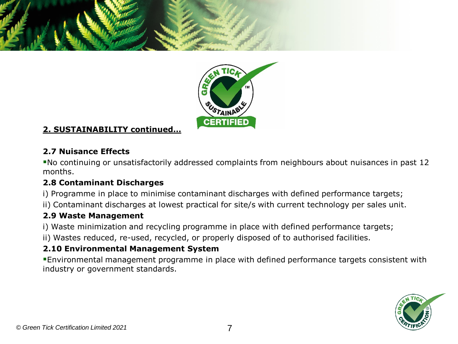



### **2. SUSTAINABILITY continued…**

#### **2.7 Nuisance Effects**

▪No continuing or unsatisfactorily addressed complaints from neighbours about nuisances in past 12 months.

#### **2.8 Contaminant Discharges**

- i) Programme in place to minimise contaminant discharges with defined performance targets;
- ii) Contaminant discharges at lowest practical for site/s with current technology per sales unit.

#### **2.9 Waste Management**

- i) Waste minimization and recycling programme in place with defined performance targets;
- ii) Wastes reduced, re-used, recycled, or properly disposed of to authorised facilities.

## **2.10 Environmental Management System**

▪Environmental management programme in place with defined performance targets consistent with industry or government standards.

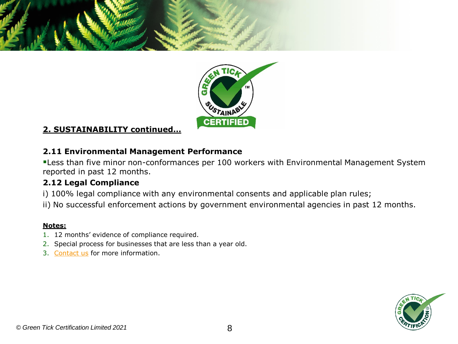



#### **2. SUSTAINABILITY continued…**

#### **2.11 Environmental Management Performance**

**ELESS than five minor non-conformances per 100 workers with Environmental Management System** reported in past 12 months.

#### **2.12 Legal Compliance**

- i) 100% legal compliance with any environmental consents and applicable plan rules;
- ii) No successful enforcement actions by government environmental agencies in past 12 months.

- 1. 12 months' evidence of compliance required.
- 2. Special process for businesses that are less than a year old.
- 3. [Contact us](mailto:info@greentick.com?subject=Green%20Tick%20Inquiry) for more information.

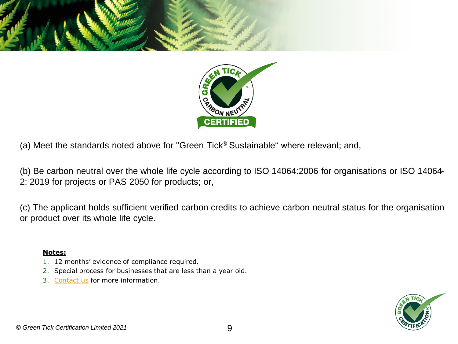



(b) Be carbon neutral over the whole life cycle according to ISO 14064:2006 for organisations or ISO 14064- 2: 2019 for projects or PAS 2050 for products; or,

(c) The applicant holds sufficient verified carbon credits to achieve carbon neutral status for the organisation or product over its whole life cycle.

- 1. 12 months' evidence of compliance required.
- 2. Special process for businesses that are less than a year old.
- 3. [Contact us](mailto:info@greentick.com?subject=Green%20Tick%20Inquiry) for more information.

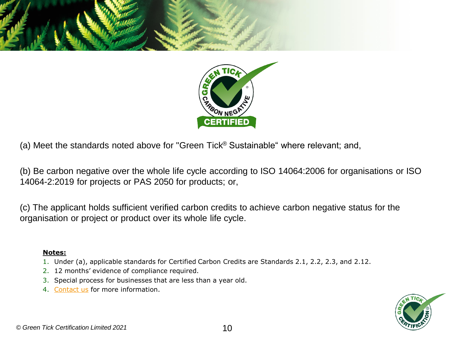



(b) Be carbon negative over the whole life cycle according to ISO 14064:2006 for organisations or ISO 14064-2:2019 for projects or PAS 2050 for products; or,

(c) The applicant holds sufficient verified carbon credits to achieve carbon negative status for the organisation or project or product over its whole life cycle.

- 1. Under (a), applicable standards for Certified Carbon Credits are Standards 2.1, 2.2, 2.3, and 2.12.
- 2. 12 months' evidence of compliance required.
- 3. Special process for businesses that are less than a year old.
- 4. [Contact us](mailto:info@greentick.com?subject=Green%20Tick%20Inquiry) for more information.

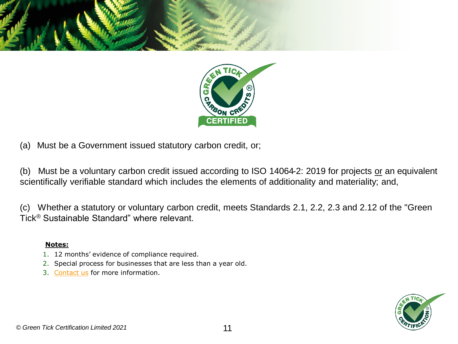



(a) Must be a Government issued statutory carbon credit, or;

(b) Must be a voluntary carbon credit issued according to ISO 14064-2: 2019 for projects or an equivalent scientifically verifiable standard which includes the elements of additionality and materiality; and,

(c) Whether a statutory or voluntary carbon credit, meets Standards 2.1, 2.2, 2.3 and 2.12 of the "Green Tick® Sustainable Standard" where relevant.

- 1. 12 months' evidence of compliance required.
- 2. Special process for businesses that are less than a year old.
- 3. [Contact us](mailto:info@greentick.com?subject=Green%20Tick%20Inquiry) for more information.

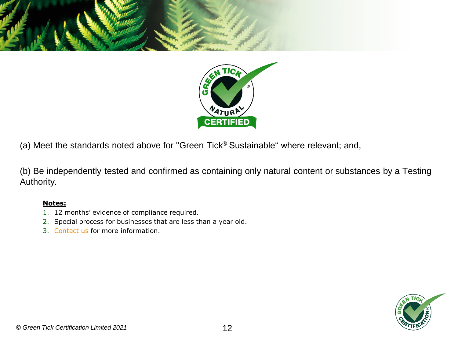



(b) Be independently tested and confirmed as containing only natural content or substances by a Testing Authority.

- 1. 12 months' evidence of compliance required.
- 2. Special process for businesses that are less than a year old.
- 3. [Contact us](mailto:info@greentick.com?subject=Green%20Tick%20Inquiry) for more information.

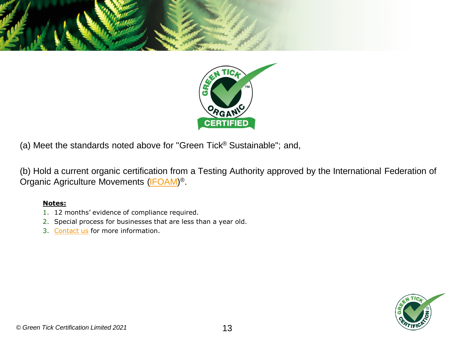



(b) Hold a current organic certification from a Testing Authority approved by the International Federation of Organic Agriculture Movements [\(IFOAM\)](http://www.ifoam.org/)<sup>®</sup>.

- 1. 12 months' evidence of compliance required.
- 2. Special process for businesses that are less than a year old.
- 3. [Contact us](mailto:info@greentick.com?subject=Green%20Tick%20Inquiry) for more information.

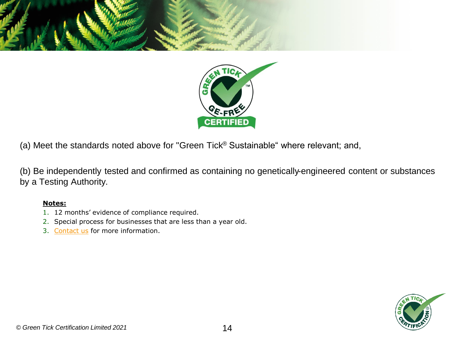



(b) Be independently tested and confirmed as containing no genetically-engineered content or substances by a Testing Authority.

- 1. 12 months' evidence of compliance required.
- 2. Special process for businesses that are less than a year old.
- 3. [Contact us](mailto:info@greentick.com?subject=Green%20Tick%20Inquiry) for more information.

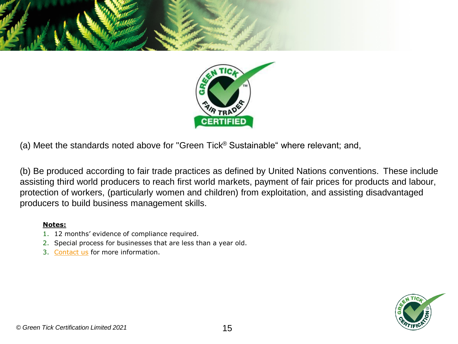



(b) Be produced according to fair trade practices as defined by United Nations conventions. These include assisting third world producers to reach first world markets, payment of fair prices for products and labour, protection of workers, (particularly women and children) from exploitation, and assisting disadvantaged producers to build business management skills.

- 1. 12 months' evidence of compliance required.
- 2. Special process for businesses that are less than a year old.
- 3. [Contact us](mailto:info@greentick.com?subject=Green%20Tick%20Inquiry) for more information.

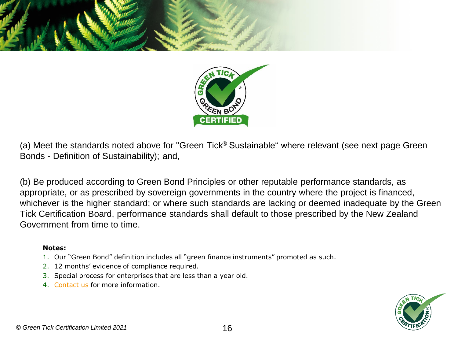



(a) Meet the standards noted above for "Green Tick® Sustainable" where relevant (see next page Green Bonds - Definition of Sustainability); and,

(b) Be produced according to Green Bond Principles or other reputable performance standards, as appropriate, or as prescribed by sovereign governments in the country where the project is financed, whichever is the higher standard; or where such standards are lacking or deemed inadequate by the Green Tick Certification Board, performance standards shall default to those prescribed by the New Zealand Government from time to time.

- 1. Our "Green Bond" definition includes all "green finance instruments" promoted as such.
- 2. 12 months' evidence of compliance required.
- 3. Special process for enterprises that are less than a year old.
- 4. [Contact us](mailto:info@greentick.com?subject=Green%20Tick%20Inquiry) for more information.

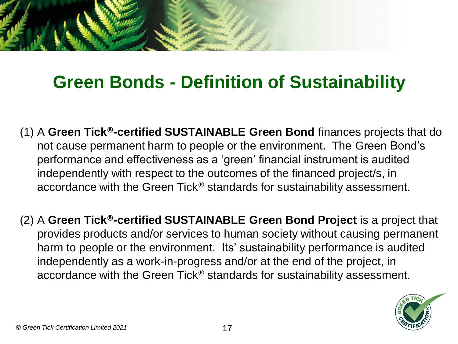

# **Green Bonds - Definition of Sustainability**

- (1) A **Green Tick-certified SUSTAINABLE Green Bond** finances projects that do not cause permanent harm to people or the environment. The Green Bond's performance and effectiveness as a 'green' financial instrument is audited independently with respect to the outcomes of the financed project/s, in accordance with the Green Tick<sup>®</sup> standards for sustainability assessment.
- (2) A **Green Tick-certified SUSTAINABLE Green Bond Project** is a project that provides products and/or services to human society without causing permanent harm to people or the environment. Its' sustainability performance is audited independently as a work-in-progress and/or at the end of the project, in accordance with the Green Tick<sup>®</sup> standards for sustainability assessment.

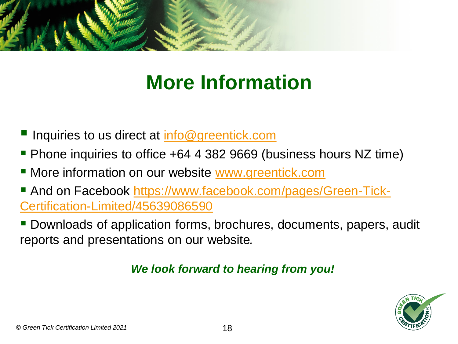

# **More Information**

- Inquiries to us direct at [info@greentick.com](mailto:info@greentick.com)
- Phone inquiries to office +64 4 382 9669 (business hours NZ time)
- **E** More information on our website [www.greentick.com](http://www.greentick.com/)
- [And on Facebook https://www.facebook.com/pages/Green-Tick-](https://www.facebook.com/pages/Green-Tick-Certification-Limited/45639086590)Certification-Limited/45639086590
- Downloads of application forms, brochures, documents, papers, audit reports and presentations on our website*.*

# *We look forward to hearing from you!*